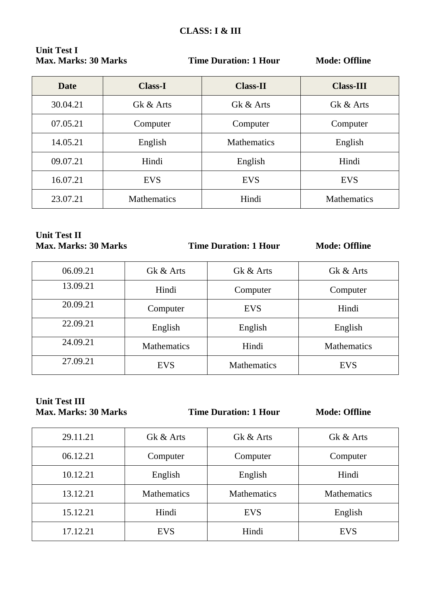| <b>Unit Test I</b>          |  |
|-----------------------------|--|
| <b>Max. Marks: 30 Marks</b> |  |

| <b>Date</b> | <b>Class-I</b>     | <b>Class-II</b>    | <b>Class-III</b>   |
|-------------|--------------------|--------------------|--------------------|
| 30.04.21    | Gk & Arts          | Gk & Arts          | Gk & Arts          |
| 07.05.21    | Computer           | Computer           | Computer           |
| 14.05.21    | English            | <b>Mathematics</b> | English            |
| 09.07.21    | Hindi              | English            | Hindi              |
| 16.07.21    | <b>EVS</b>         | <b>EVS</b>         | <b>EVS</b>         |
| 23.07.21    | <b>Mathematics</b> | Hindi              | <b>Mathematics</b> |

# **Unit Test II<br>Max. Marks: 30 Marks**

**Time Duration: 1 Hour Mode: Offline** 

| 06.09.21 | Gk & Arts          | Gk & Arts          | Gk & Arts          |
|----------|--------------------|--------------------|--------------------|
| 13.09.21 | Hindi              | Computer           | Computer           |
| 20.09.21 | Computer           | <b>EVS</b>         | Hindi              |
| 22.09.21 | English            | English            | English            |
| 24.09.21 | <b>Mathematics</b> | Hindi              | <b>Mathematics</b> |
| 27.09.21 | <b>EVS</b>         | <b>Mathematics</b> | <b>EVS</b>         |

# **Unit Test III**<br>Max. Marks: 30 Marks

**Time Duration: 1 Hour Mode: Offline** 

| 29.11.21 | Gk & Arts          | Gk & Arts          | Gk & Arts          |
|----------|--------------------|--------------------|--------------------|
| 06.12.21 | Computer           | Computer           | Computer           |
| 10.12.21 | English            | English            | Hindi              |
| 13.12.21 | <b>Mathematics</b> | <b>Mathematics</b> | <b>Mathematics</b> |
| 15.12.21 | Hindi              | <b>EVS</b>         | English            |
| 17.12.21 | <b>EVS</b>         | Hindi              | <b>EVS</b>         |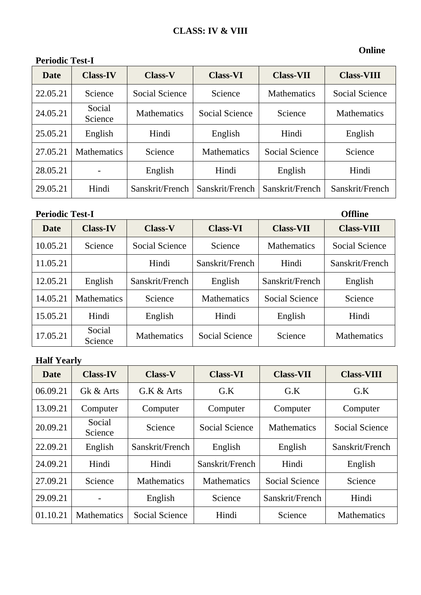# **Periodic Test-I**

#### **Online**

| <b>Date</b> | <b>Class-IV</b>    | <b>Class-V</b>     | <b>Class-VI</b>    | <b>Class-VII</b>   | <b>Class-VIII</b>  |
|-------------|--------------------|--------------------|--------------------|--------------------|--------------------|
| 22.05.21    | Science            | Social Science     | Science            | <b>Mathematics</b> | Social Science     |
| 24.05.21    | Social<br>Science  | <b>Mathematics</b> | Social Science     | Science            | <b>Mathematics</b> |
| 25.05.21    | English            | Hindi              | English            | Hindi              | English            |
| 27.05.21    | <b>Mathematics</b> | Science            | <b>Mathematics</b> | Social Science     | Science            |
| 28.05.21    |                    | English            | Hindi              | English            | Hindi              |
| 29.05.21    | Hindi              | Sanskrit/French    | Sanskrit/French    | Sanskrit/French    | Sanskrit/French    |

Periodic Test-I Offline

| Date     | <b>Class-IV</b>    | <b>Class-V</b>     | <b>Class-VI</b>    | <b>Class-VII</b>   | <b>Class-VIII</b>     |
|----------|--------------------|--------------------|--------------------|--------------------|-----------------------|
| 10.05.21 | Science            | Social Science     | Science            | <b>Mathematics</b> | <b>Social Science</b> |
| 11.05.21 |                    | Hindi              | Sanskrit/French    | Hindi              | Sanskrit/French       |
| 12.05.21 | English            | Sanskrit/French    | English            | Sanskrit/French    | English               |
| 14.05.21 | <b>Mathematics</b> | Science            | <b>Mathematics</b> | Social Science     | Science               |
| 15.05.21 | Hindi              | English            | Hindi              | English            | Hindi                 |
| 17.05.21 | Social<br>Science  | <b>Mathematics</b> | Social Science     | Science            | <b>Mathematics</b>    |

# **Half Yearly**

| <b>Date</b> | <b>Class-IV</b>    | <b>Class-V</b>     | <b>Class-VI</b>       | <b>Class-VII</b>   | <b>Class-VIII</b>     |
|-------------|--------------------|--------------------|-----------------------|--------------------|-----------------------|
| 06.09.21    | Gk & Arts          | G.K & Arts         | G.K                   | G.K                | G.K                   |
| 13.09.21    | Computer           | Computer           | Computer              | Computer           | Computer              |
| 20.09.21    | Social<br>Science  | Science            | <b>Social Science</b> | <b>Mathematics</b> | <b>Social Science</b> |
| 22.09.21    | English            | Sanskrit/French    | English               | English            | Sanskrit/French       |
| 24.09.21    | Hindi              | Hindi              | Sanskrit/French       | Hindi              | English               |
| 27.09.21    | Science            | <b>Mathematics</b> | <b>Mathematics</b>    | Social Science     | Science               |
| 29.09.21    |                    | English            | Science               | Sanskrit/French    | Hindi                 |
| 01.10.21    | <b>Mathematics</b> | Social Science     | Hindi                 | Science            | <b>Mathematics</b>    |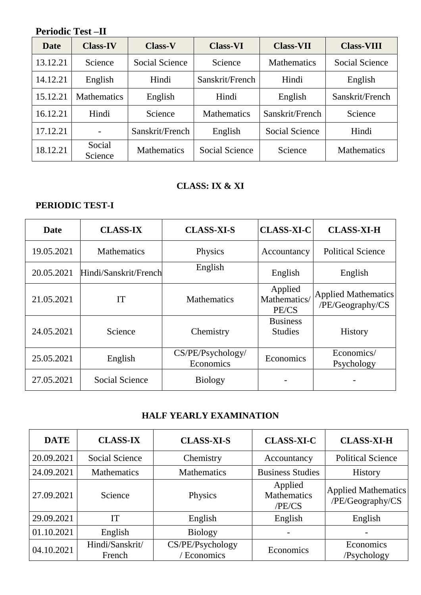# **Periodic Test –II**

| Date     | <b>Class-IV</b>    | <b>Class-V</b>     | <b>Class-VI</b>    | <b>Class-VII</b>   | <b>Class-VIII</b>  |
|----------|--------------------|--------------------|--------------------|--------------------|--------------------|
| 13.12.21 | Science            | Social Science     | Science            | <b>Mathematics</b> | Social Science     |
| 14.12.21 | English            | Hindi              | Sanskrit/French    | Hindi              | English            |
| 15.12.21 | <b>Mathematics</b> | English            | Hindi              | English            | Sanskrit/French    |
| 16.12.21 | Hindi              | Science            | <b>Mathematics</b> | Sanskrit/French    | Science            |
| 17.12.21 |                    | Sanskrit/French    | English            | Social Science     | Hindi              |
| 18.12.21 | Social<br>Science  | <b>Mathematics</b> | Social Science     | Science            | <b>Mathematics</b> |

## **CLASS: IX & XI**

#### **PERIODIC TEST-I**

| <b>Date</b> | <b>CLASS-IX</b>       | <b>CLASS-XI-S</b>              | <b>CLASS-XI-C</b>                 | <b>CLASS-XI-H</b>                              |
|-------------|-----------------------|--------------------------------|-----------------------------------|------------------------------------------------|
| 19.05.2021  | <b>Mathematics</b>    | Physics                        | Accountancy                       | <b>Political Science</b>                       |
| 20.05.2021  | Hindi/Sanskrit/French | English                        | English                           | English                                        |
| 21.05.2021  | <b>IT</b>             | <b>Mathematics</b>             | Applied<br>Mathematics/<br>PE/CS  | <b>Applied Mathematics</b><br>/PE/Geography/CS |
| 24.05.2021  | Science               | Chemistry                      | <b>Business</b><br><b>Studies</b> | <b>History</b>                                 |
| 25.05.2021  | English               | CS/PE/Psychology/<br>Economics | Economics                         | Economics/<br>Psychology                       |
| 27.05.2021  | Social Science        | <b>Biology</b>                 |                                   |                                                |

### **HALF YEARLY EXAMINATION**

| <b>DATE</b> | <b>CLASS-IX</b>           | <b>CLASS-XI-S</b>              | <b>CLASS-XI-C</b>                       | <b>CLASS-XI-H</b>                              |
|-------------|---------------------------|--------------------------------|-----------------------------------------|------------------------------------------------|
| 20.09.2021  | <b>Social Science</b>     | Chemistry                      | Accountancy                             | <b>Political Science</b>                       |
| 24.09.2021  | <b>Mathematics</b>        | Mathematics                    | <b>Business Studies</b>                 | History                                        |
| 27.09.2021  | Science                   | Physics                        | Applied<br><b>Mathematics</b><br>/PE/CS | <b>Applied Mathematics</b><br>/PE/Geography/CS |
| 29.09.2021  | IT                        | English                        | English                                 | English                                        |
| 01.10.2021  | English                   | <b>Biology</b>                 |                                         |                                                |
| 04.10.2021  | Hindi/Sanskrit/<br>French | CS/PE/Psychology<br>'Economics | Economics                               | Economics<br>/Psychology                       |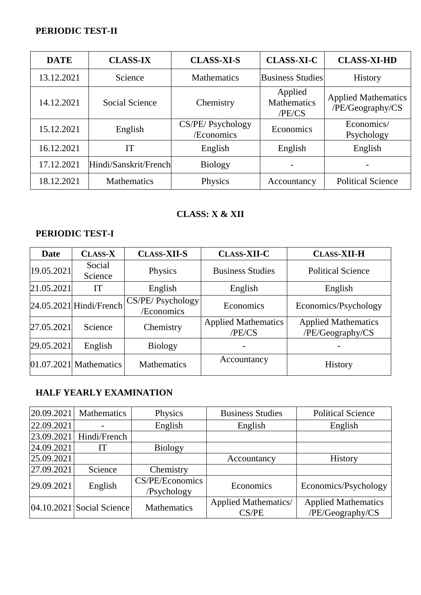### **PERIODIC TEST-II**

| <b>DATE</b> | <b>CLASS-IX</b>       | <b>CLASS-XI-S</b>                                    | <b>CLASS-XI-C</b>       | <b>CLASS-XI-HD</b>                             |
|-------------|-----------------------|------------------------------------------------------|-------------------------|------------------------------------------------|
| 13.12.2021  | Science               | <b>Mathematics</b>                                   | <b>Business Studies</b> | <b>History</b>                                 |
| 14.12.2021  | <b>Social Science</b> | Applied<br><b>Mathematics</b><br>Chemistry<br>/PE/CS |                         | <b>Applied Mathematics</b><br>/PE/Geography/CS |
| 15.12.2021  | English               | CS/PE/ Psychology<br>/Economics                      | Economics               | Economics/<br>Psychology                       |
| 16.12.2021  | IT                    | English                                              | English                 | English                                        |
| 17.12.2021  | Hindi/Sanskrit/French | <b>Biology</b>                                       |                         |                                                |
| 18.12.2021  | <b>Mathematics</b>    | Physics                                              | Accountancy             | <b>Political Science</b>                       |

## **CLASS: X & XII**

### **PERIODIC TEST-I**

| <b>Date</b> | <b>CLASS-X</b>            | <b>CLASS-XII-S</b>              | <b>CLASS-XII-C</b>                   | <b>CLASS-XII-H</b>                             |
|-------------|---------------------------|---------------------------------|--------------------------------------|------------------------------------------------|
| 19.05.2021  | Social<br>Science         | Physics                         | <b>Business Studies</b>              | <b>Political Science</b>                       |
| 21.05.2021  | IT                        | English                         | English                              | English                                        |
|             | $24.05.2021$ Hindi/French | CS/PE/ Psychology<br>/Economics | Economics                            | Economics/Psychology                           |
| 27.05.2021  | Science                   | Chemistry                       | <b>Applied Mathematics</b><br>/PE/CS | <b>Applied Mathematics</b><br>/PE/Geography/CS |
| 29.05.2021  | English                   | <b>Biology</b>                  |                                      |                                                |
|             | $01.07.2021$ Mathematics  | Mathematics                     | Accountancy                          | <b>History</b>                                 |

# **HALF YEARLY EXAMINATION**

| 20.09.2021 | <b>Mathematics</b>            | Physics                        | <b>Business Studies</b>              | <b>Political Science</b>                       |
|------------|-------------------------------|--------------------------------|--------------------------------------|------------------------------------------------|
| 22.09.2021 |                               | English                        | English                              | English                                        |
| 23.09.2021 | Hindi/French                  |                                |                                      |                                                |
| 24.09.2021 | IT                            | <b>Biology</b>                 |                                      |                                                |
| 25.09.2021 |                               |                                | Accountancy                          | History                                        |
| 27.09.2021 | Science                       | Chemistry                      |                                      |                                                |
| 29.09.2021 | English                       | CS/PE/Economics<br>/Psychology | Economics                            | Economics/Psychology                           |
|            | $[04.10.2021]$ Social Science | <b>Mathematics</b>             | <b>Applied Mathematics/</b><br>CS/PE | <b>Applied Mathematics</b><br>/PE/Geography/CS |